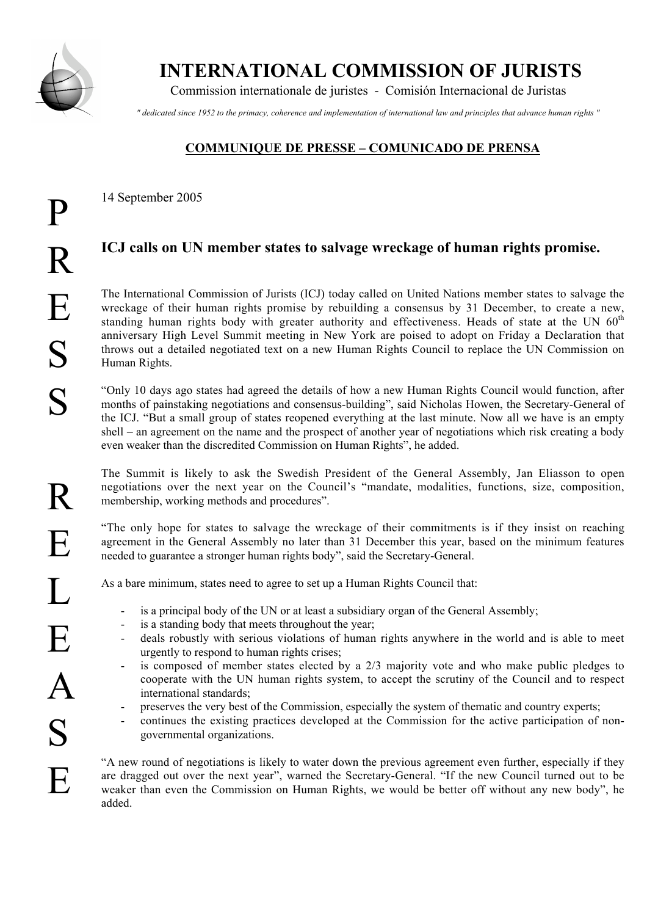

P

 **INTERNATIONAL COMMISSION OF JURISTS**

Commission internationale de juristes - Comisión Internacional de Juristas

*" dedicated since 1952 to the primacy, coherence and implementation of international law and principles that advance human rights "*

## **COMMUNIQUE DE PRESSE – COMUNICADO DE PRENSA**

14 September 2005

## **ICJ calls on UN member states to salvage wreckage of human rights promise.**

The International Commission of Jurists (ICJ) today called on United Nations member states to salvage the wreckage of their human rights promise by rebuilding a consensus by 31 December, to create a new, standing human rights body with greater authority and effectiveness. Heads of state at the UN  $60<sup>th</sup>$ anniversary High Level Summit meeting in New York are poised to adopt on Friday a Declaration that throws out a detailed negotiated text on a new Human Rights Council to replace the UN Commission on Human Rights.

"Only 10 days ago states had agreed the details of how a new Human Rights Council would function, after months of painstaking negotiations and consensus-building", said Nicholas Howen, the Secretary-General of the ICJ. "But a small group of states reopened everything at the last minute. Now all we have is an empty shell – an agreement on the name and the prospect of another year of negotiations which risk creating a body even weaker than the discredited Commission on Human Rights", he added.

The Summit is likely to ask the Swedish President of the General Assembly, Jan Eliasson to open negotiations over the next year on the Council's "mandate, modalities, functions, size, composition, membership, working methods and procedures".

"The only hope for states to salvage the wreckage of their commitments is if they insist on reaching agreement in the General Assembly no later than 31 December this year, based on the minimum features needed to guarantee a stronger human rights body", said the Secretary-General.

As a bare minimum, states need to agree to set up a Human Rights Council that:

- is a principal body of the UN or at least a subsidiary organ of the General Assembly;
- is a standing body that meets throughout the year;
- deals robustly with serious violations of human rights anywhere in the world and is able to meet urgently to respond to human rights crises;
- is composed of member states elected by a 2/3 majority vote and who make public pledges to cooperate with the UN human rights system, to accept the scrutiny of the Council and to respect international standards;
- preserves the very best of the Commission, especially the system of thematic and country experts;
- continues the existing practices developed at the Commission for the active participation of nongovernmental organizations.

"A new round of negotiations is likely to water down the previous agreement even further, especially if they are dragged out over the next year", warned the Secretary-General. "If the new Council turned out to be weaker than even the Commission on Human Rights, we would be better off without any new body", he added.